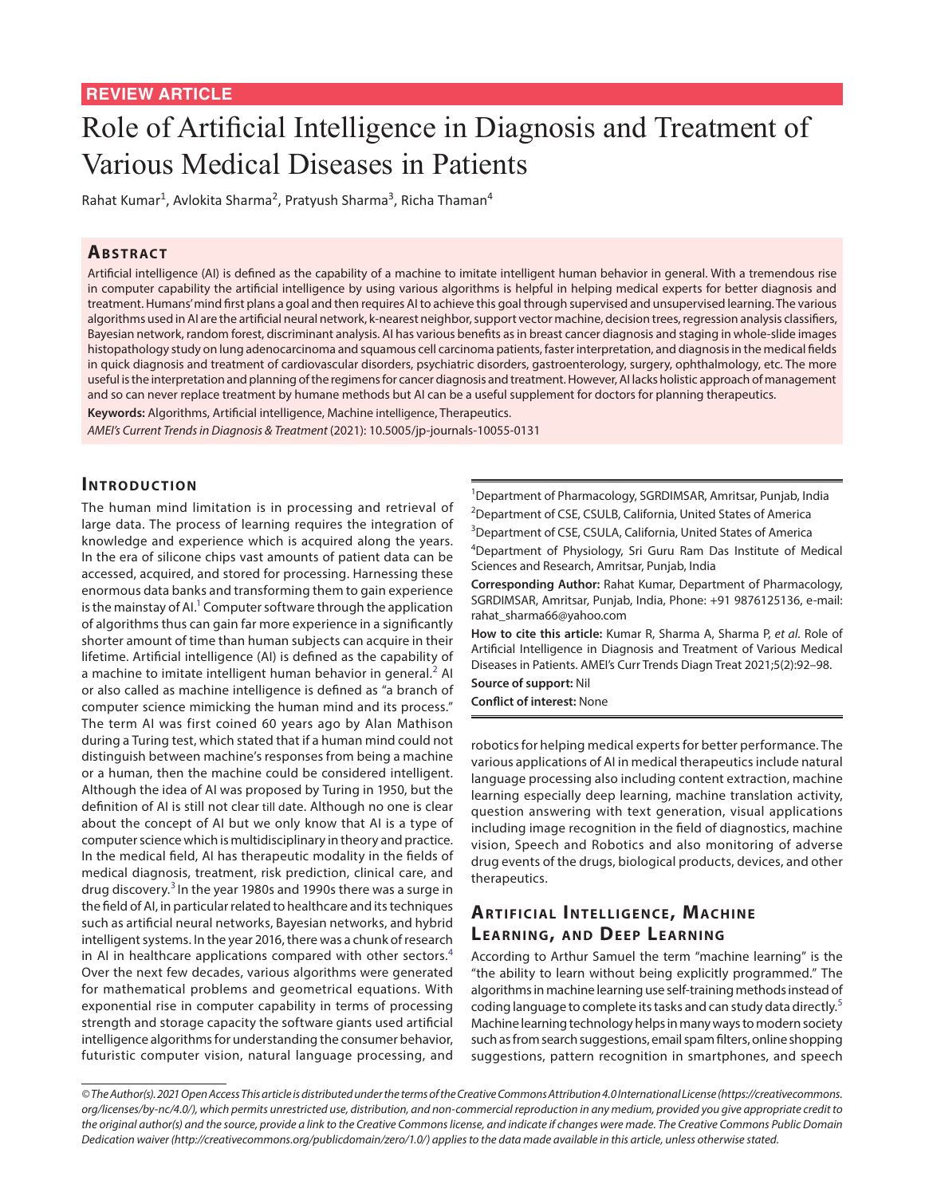# Role of Artificial Intelligence in Diagnosis and Treatment of Various Medical Diseases in Patients

Rahat Kumar<sup>1</sup>, Avlokita Sharma<sup>2</sup>, Pratyush Sharma<sup>3</sup>, Richa Thaman<sup>4</sup>

## **ABSTRACT**

Artificial intelligence (AI) is defined as the capability of a machine to imitate intelligent human behavior in general. With a tremendous rise in computer capability the artificial intelligence by using various algorithms is helpful in helping medical experts for better diagnosis and treatment. Humans' mind first plans a goal and then requires AI to achieve this goal through supervised and unsupervised learning. The various algorithms used in AI are the artificial neural network, k-nearest neighbor, support vector machine, decision trees, regression analysis classifiers, Bayesian network, random forest, discriminant analysis. AI has various benefits as in breast cancer diagnosis and staging in whole-slide images histopathology study on lung adenocarcinoma and squamous cell carcinoma patients, faster interpretation, and diagnosis in the medical fields in quick diagnosis and treatment of cardiovascular disorders, psychiatric disorders, gastroenterology, surgery, ophthalmology, etc. The more useful is the interpretation and planning of the regimens for cancer diagnosis and treatment. However, AI lacks holistic approach of management and so can never replace treatment by humane methods but AI can be a useful supplement for doctors for planning therapeutics.

**Keywords:** Algorithms, Artificial intelligence, Machine intelligence, Therapeutics.

*AMEI's Current Trends in Diagnosis & Treatment* (2021): 10.5005/jp-journals-10055-0131

## **INTRODUCTION**

The human mind limitation is in processing and retrieval of large data. The process of learning requires the integration of knowledge and experience which is acquired along the years. In the era of silicone chips vast amounts of patient data can be accessed, acquired, and stored for processing. Harnessing these enormous data banks and transforming them to gain experience is the mainstay of Al.<sup>1</sup> Computer software through the application of algorithms thus can gain far more experience in a significantly shorter amount of time than human subjects can acquire in their lifetime. Artificial intelligence (AI) is defined as the capability of a machine to imitate intelligent human behavior in general.<sup>[2](#page-5-1)</sup> AI or also called as machine intelligence is defined as "a branch of computer science mimicking the human mind and its process." The term AI was first coined 60 years ago by Alan Mathison during a Turing test, which stated that if a human mind could not distinguish between machine's responses from being a machine or a human, then the machine could be considered intelligent. Although the idea of AI was proposed by Turing in 1950, but the definition of AI is still not clear till date. Although no one is clear about the concept of AI but we only know that AI is a type of computer science which is multidisciplinary in theory and practice. In the medical field, AI has therapeutic modality in the fields of medical diagnosis, treatment, risk prediction, clinical care, and drug discovery.[3](#page-5-2) In the year 1980s and 1990s there was a surge in the field of AI, in particular related to healthcare and its techniques such as artificial neural networks, Bayesian networks, and hybrid intelligent systems. In the year 2016, there was a chunk of research in AI in healthcare applications compared with other sectors.<sup>[4](#page-5-3)</sup> Over the next few decades, various algorithms were generated for mathematical problems and geometrical equations. With exponential rise in computer capability in terms of processing strength and storage capacity the software giants used artificial intelligence algorithms for understanding the consumer behavior, futuristic computer vision, natural language processing, and

<sup>1</sup>Department of Pharmacology, SGRDIMSAR, Amritsar, Punjab, India <sup>2</sup>Department of CSE, CSULB, California, United States of America <sup>3</sup>Department of CSE, CSULA, California, United States of America 4 Department of Physiology, Sri Guru Ram Das Institute of Medical Sciences and Research, Amritsar, Punjab, India

**Corresponding Author:** Rahat Kumar, Department of Pharmacology, SGRDIMSAR, Amritsar, Punjab, India, Phone: +91 9876125136, e-mail: rahat\_sharma66@yahoo.com

**How to cite this article:** Kumar R, Sharma A, Sharma P, *et al*. Role of Artificial Intelligence in Diagnosis and Treatment of Various Medical Diseases in Patients. AMEI's Curr Trends Diagn Treat 2021;5(2):92–98. **Source of support:** Nil

**Conflict of interest:** None

robotics for helping medical experts for better performance. The various applications of AI in medical therapeutics include natural language processing also including content extraction, machine learning especially deep learning, machine translation activity, question answering with text generation, visual applications including image recognition in the field of diagnostics, machine vision, Speech and Robotics and also monitoring of adverse drug events of the drugs, biological products, devices, and other therapeutics.

# **ARTIFICIAL INTELLIGENCE, MACHINE LEARNING, AND DEEP LEARNING**

According to Arthur Samuel the term "machine learning" is the "the ability to learn without being explicitly programmed." The algorithms in machine learning use self-training methods instead of coding language to complete its tasks and can study data directly.<sup>[5](#page-5-4)</sup> Machine learning technology helps in many ways to modern society such as from search suggestions, email spam filters, online shopping suggestions, pattern recognition in smartphones, and speech

*<sup>©</sup> The Author(s). 2021 Open Access This article is distributed under the terms of the Creative Commons Attribution 4.0 International License ([https://creativecommons.](https://creativecommons. org/licenses/by-nc/4.0/) [org/licenses/by-nc/4.0/](https://creativecommons. org/licenses/by-nc/4.0/)), which permits unrestricted use, distribution, and non-commercial reproduction in any medium, provided you give appropriate credit to the original author(s) and the source, provide a link to the Creative Commons license, and indicate if changes were made. The Creative Commons Public Domain Dedication waiver ([http://creativecommons.org/publicdomain/zero/1.0/\)](http://creativecommons.org/publicdomain/zero/1.0/) applies to the data made available in this article, unless otherwise stated.*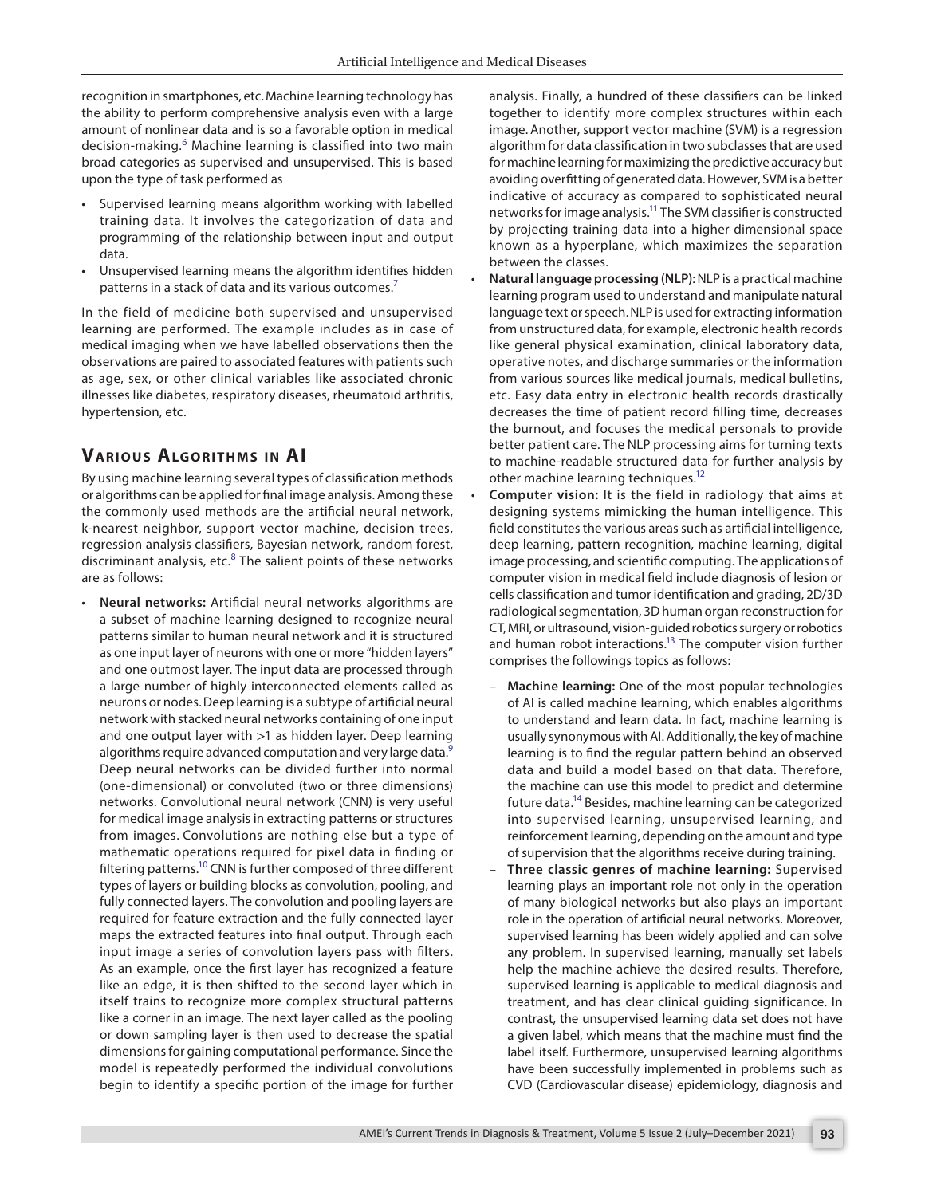recognition in smartphones, etc.Machine learning technology has the ability to perform comprehensive analysis even with a large amount of nonlinear data and is so a favorable option in medical decision-making.<sup>[6](#page-5-5)</sup> Machine learning is classified into two main broad categories as supervised and unsupervised. This is based upon the type of task performed as

- Supervised learning means algorithm working with labelled training data. It involves the categorization of data and programming of the relationship between input and output data.
- Unsupervised learning means the algorithm identifies hidden patterns in a stack of data and its various outcomes.<sup>7</sup>

In the field of medicine both supervised and unsupervised learning are performed. The example includes as in case of medical imaging when we have labelled observations then the observations are paired to associated features with patients such as age, sex, or other clinical variables like associated chronic illnesses like diabetes, respiratory diseases, rheumatoid arthritis, hypertension, etc.

## **VARIOUS ALGORITHMS IN AI**

By using machine learning several types of classification methods or algorithms can be applied for final image analysis. Among these the commonly used methods are the artificial neural network, k-nearest neighbor, support vector machine, decision trees, regression analysis classifiers, Bayesian network, random forest, discriminant analysis, etc.<sup>[8](#page-5-7)</sup> The salient points of these networks are as follows:

• **Neural networks:** Artificial neural networks algorithms are a subset of machine learning designed to recognize neural patterns similar to human neural network and it is structured as one input layer of neurons with one or more "hidden layers" and one outmost layer. The input data are processed through a large number of highly interconnected elements called as neurons or nodes.Deep learning is a subtype of artificial neural network with stacked neural networks containing of one input and one output layer with >1 as hidden layer. Deep learning algorithms require advanced computation and very large data.<sup>[9](#page-5-8)</sup> Deep neural networks can be divided further into normal (one-dimensional) or convoluted (two or three dimensions) networks. Convolutional neural network (CNN) is very useful for medical image analysis in extracting patterns or structures from images. Convolutions are nothing else but a type of mathematic operations required for pixel data in finding or filtering patterns.<sup>10</sup> CNN is further composed of three different types of layers or building blocks as convolution, pooling, and fully connected layers. The convolution and pooling layers are required for feature extraction and the fully connected layer maps the extracted features into final output. Through each input image a series of convolution layers pass with filters. As an example, once the first layer has recognized a feature like an edge, it is then shifted to the second layer which in itself trains to recognize more complex structural patterns like a corner in an image. The next layer called as the pooling or down sampling layer is then used to decrease the spatial dimensions for gaining computational performance. Since the model is repeatedly performed the individual convolutions begin to identify a specific portion of the image for further

analysis. Finally, a hundred of these classifiers can be linked together to identify more complex structures within each image. Another, support vector machine (SVM) is a regression algorithm for data classification in two subclasses that are used for machine learning for maximizing the predictive accuracy but avoiding overfitting of generated data. However, SVM is a better indicative of accuracy as compared to sophisticated neural networks for image analysis.<sup>11</sup> The SVM classifier is constructed by projecting training data into a higher dimensional space known as a hyperplane, which maximizes the separation between the classes.

- **Natural language processing (NLP)**: NLP is a practical machine learning program used to understand and manipulate natural language text or speech.NLPis used for extracting information from unstructured data, for example, electronic health records like general physical examination, clinical laboratory data, operative notes, and discharge summaries or the information from various sources like medical journals, medical bulletins, etc. Easy data entry in electronic health records drastically decreases the time of patient record filling time, decreases the burnout, and focuses the medical personals to provide better patient care. The NLP processing aims for turning texts to machine-readable structured data for further analysis by other machine learning techniques.<sup>12</sup>
- **Computer vision:** It is the field in radiology that aims at designing systems mimicking the human intelligence. This field constitutes the various areas such as artificial intelligence, deep learning, pattern recognition, machine learning, digital image processing, and scientific computing. The applications of computer vision in medical field include diagnosis of lesion or cells classification and tumor identification and grading, 2D/3D radiological segmentation, 3D human organ reconstruction for CT, MRI, or ultrasound, vision-guided robotics surgery or robotics and human robot interactions.<sup>13</sup> The computer vision further comprises the followings topics as follows:
	- **Machine learning:** One of the most popular technologies of AI is called machine learning, which enables algorithms to understand and learn data. In fact, machine learning is usually synonymous with AI. Additionally, the key of machine learning is to find the regular pattern behind an observed data and build a model based on that data. Therefore, the machine can use this model to predict and determine future data[.14](#page-5-12) Besides, machine learning can be categorized into supervised learning, unsupervised learning, and reinforcement learning, depending on the amount and type of supervision that the algorithms receive during training.
	- **Three classic genres of machine learning:** Supervised learning plays an important role not only in the operation of many biological networks but also plays an important role in the operation of artificial neural networks. Moreover, supervised learning has been widely applied and can solve any problem. In supervised learning, manually set labels help the machine achieve the desired results. Therefore, supervised learning is applicable to medical diagnosis and treatment, and has clear clinical guiding significance. In contrast, the unsupervised learning data set does not have a given label, which means that the machine must find the label itself. Furthermore, unsupervised learning algorithms have been successfully implemented in problems such as CVD (Cardiovascular disease) epidemiology, diagnosis and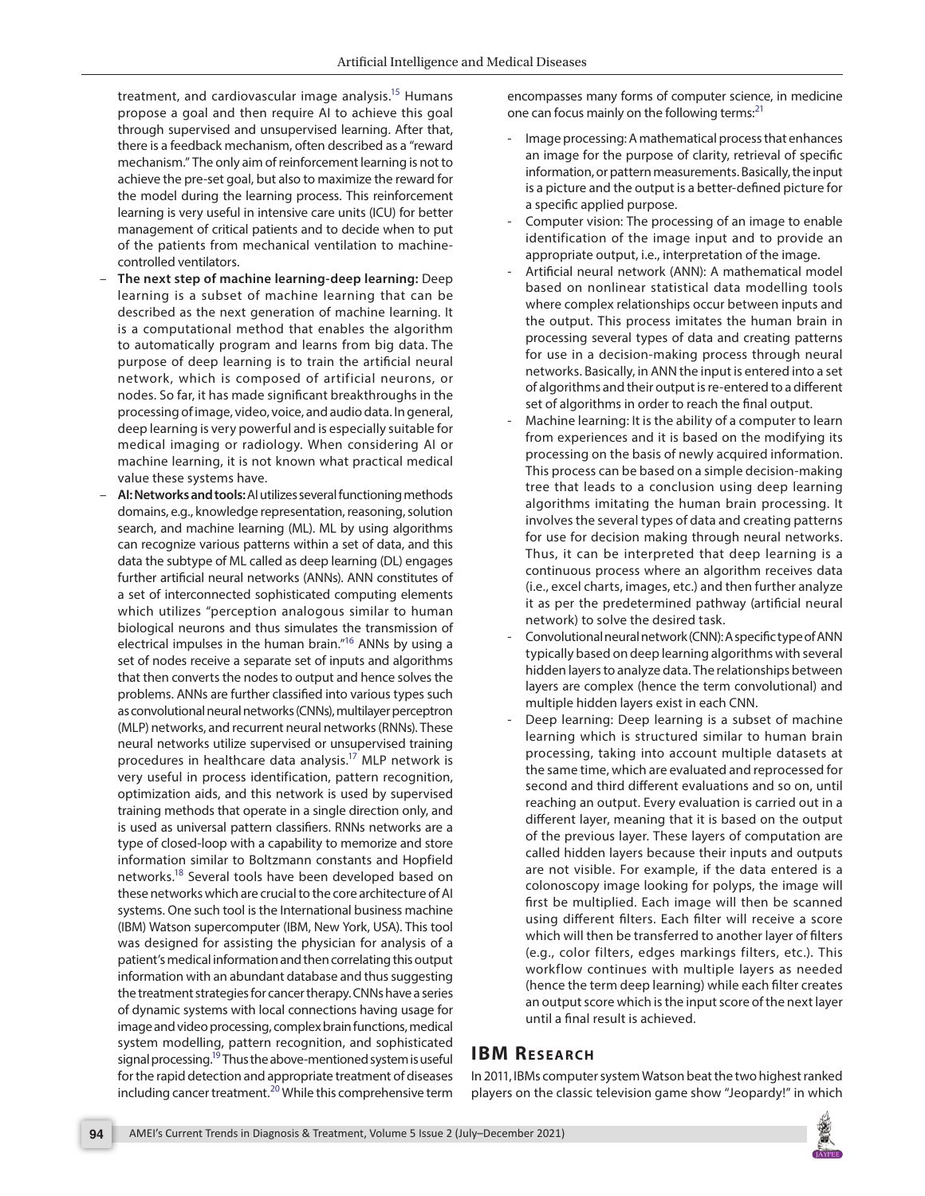treatment, and cardiovascular image analysis.<sup>15</sup> Humans propose a goal and then require AI to achieve this goal through supervised and unsupervised learning. After that, there is a feedback mechanism, often described as a "reward mechanism." The only aim of reinforcement learning is not to achieve the pre-set goal, but also to maximize the reward for the model during the learning process. This reinforcement learning is very useful in intensive care units (ICU) for better management of critical patients and to decide when to put of the patients from mechanical ventilation to machinecontrolled ventilators.

- **The next step of machine learning-deep learning:** Deep learning is a subset of machine learning that can be described as the next generation of machine learning. It is a computational method that enables the algorithm to automatically program and learns from big data. The purpose of deep learning is to train the artificial neural network, which is composed of artificial neurons, or nodes. So far, it has made significant breakthroughs in the processing of image, video, voice, and audio data. In general, deep learning is very powerful and is especially suitable for medical imaging or radiology. When considering AI or machine learning, it is not known what practical medical value these systems have.
- **AI: Networks and tools:** AI utilizes several functioning methods domains, e.g., knowledge representation, reasoning, solution search, and machine learning (ML). ML by using algorithms can recognize various patterns within a set of data, and this data the subtype of ML called as deep learning (DL) engages further artificial neural networks (ANNs). ANN constitutes of a set of interconnected sophisticated computing elements which utilizes "perception analogous similar to human biological neurons and thus simulates the transmission of electrical impulses in the human brain.["16](#page-5-15) ANNs by using a set of nodes receive a separate set of inputs and algorithms that then converts the nodes to output and hence solves the problems. ANNs are further classified into various types such as convolutional neural networks (CNNs), multilayer perceptron (MLP) networks, and recurrent neural networks (RNNs). These neural networks utilize supervised or unsupervised training procedures in healthcare data analysis[.17](#page-5-16) MLP network is very useful in process identification, pattern recognition, optimization aids, and this network is used by supervised training methods that operate in a single direction only, and is used as universal pattern classifiers. RNNs networks are a type of closed-loop with a capability to memorize and store information similar to Boltzmann constants and Hopfield networks[.18](#page-5-17) Several tools have been developed based on these networks which are crucial to the core architecture of AI systems. One such tool is the International business machine (IBM) Watson supercomputer (IBM, New York, USA). This tool was designed for assisting the physician for analysis of a patient's medical information and then correlating this output information with an abundant database and thus suggesting the treatment strategies for cancer therapy. CNNs have a series of dynamic systems with local connections having usage for image and video processing, complex brain functions, medical system modelling, pattern recognition, and sophisticated signal processing.<sup>19</sup> Thus the above-mentioned system is useful for the rapid detection and appropriate treatment of diseases including cancer treatment.<sup>[20](#page-5-19)</sup> While this comprehensive term

encompasses many forms of computer science, in medicine one can focus mainly on the following terms:<sup>[21](#page-5-13)</sup>

- Image processing: A mathematical process that enhances an image for the purpose of clarity, retrieval of specific information, or pattern measurements. Basically, the input is a picture and the output is a better-defined picture for a specific applied purpose.
- Computer vision: The processing of an image to enable identification of the image input and to provide an appropriate output, i.e., interpretation of the image.
- Artificial neural network (ANN): A mathematical model based on nonlinear statistical data modelling tools where complex relationships occur between inputs and the output. This process imitates the human brain in processing several types of data and creating patterns for use in a decision-making process through neural networks. Basically, in ANN the input is entered into a set of algorithms and their output is re-entered to a different set of algorithms in order to reach the final output.
- Machine learning: It is the ability of a computer to learn from experiences and it is based on the modifying its processing on the basis of newly acquired information. This process can be based on a simple decision-making tree that leads to a conclusion using deep learning algorithms imitating the human brain processing. It involves the several types of data and creating patterns for use for decision making through neural networks. Thus, it can be interpreted that deep learning is a continuous process where an algorithm receives data (i.e., excel charts, images, etc.) and then further analyze it as per the predetermined pathway (artificial neural network) to solve the desired task.
- Convolutional neural network (CNN): A specific type of ANN typically based on deep learning algorithms with several hidden layers to analyze data. The relationships between layers are complex (hence the term convolutional) and multiple hidden layers exist in each CNN.
- Deep learning: Deep learning is a subset of machine learning which is structured similar to human brain processing, taking into account multiple datasets at the same time, which are evaluated and reprocessed for second and third different evaluations and so on, until reaching an output. Every evaluation is carried out in a different layer, meaning that it is based on the output of the previous layer. These layers of computation are called hidden layers because their inputs and outputs are not visible. For example, if the data entered is a colonoscopy image looking for polyps, the image will first be multiplied. Each image will then be scanned using different filters. Each filter will receive a score which will then be transferred to another layer of filters (e.g., color filters, edges markings filters, etc.). This workflow continues with multiple layers as needed (hence the term deep learning) while each filter creates an output score which is the input score of the next layer until a final result is achieved.

# **IBM RESEARCH**

In 2011, IBMs computer system Watson beat the two highest ranked players on the classic television game show "Jeopardy!" in which

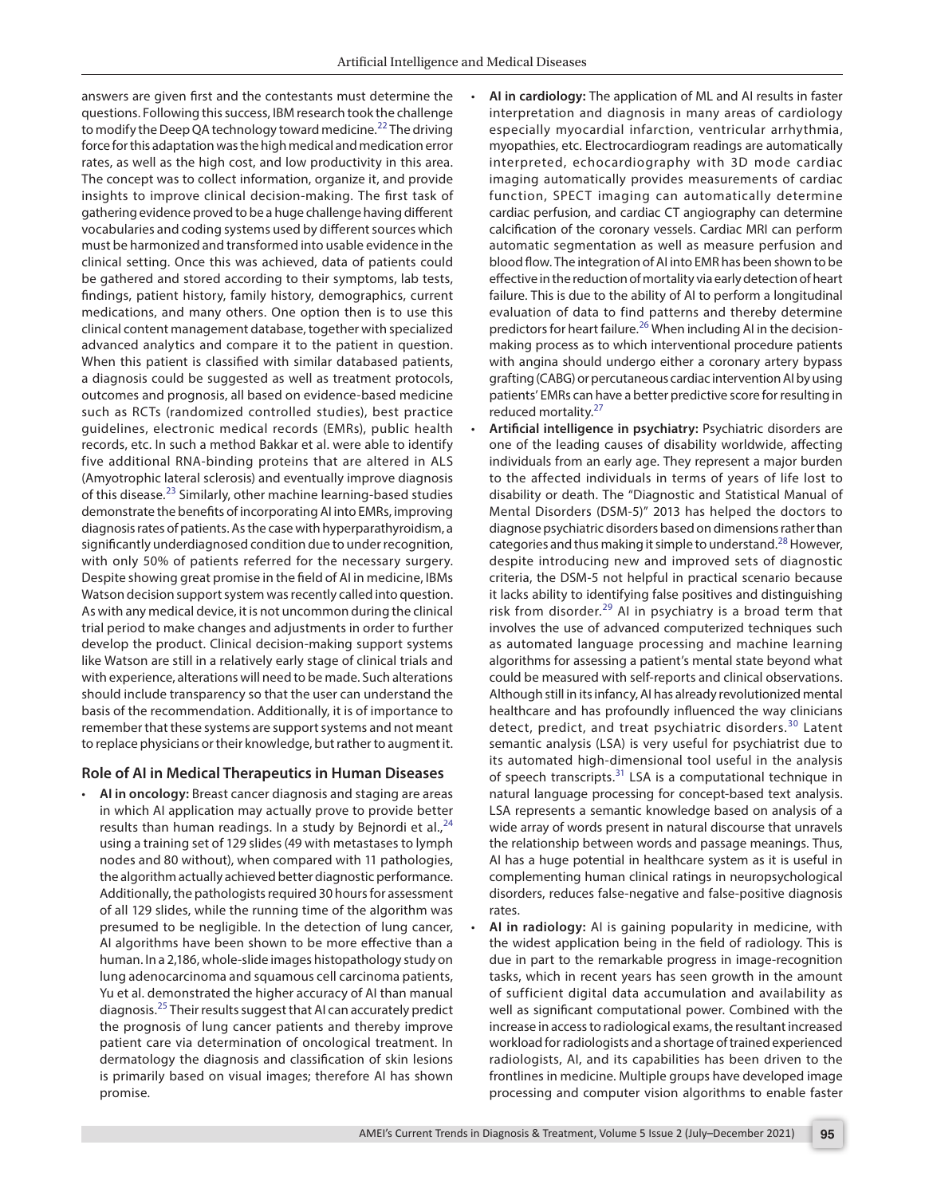answers are given first and the contestants must determine the questions. Following this success, IBM research took the challenge to modify the Deep QA technology toward medicine.<sup>[22](#page-5-23)</sup> The driving force for this adaptation was the high medical and medication error rates, as well as the high cost, and low productivity in this area. The concept was to collect information, organize it, and provide insights to improve clinical decision-making. The first task of gathering evidence proved to be a huge challenge having different vocabularies and coding systems used by different sources which must be harmonized and transformed into usable evidence in the clinical setting. Once this was achieved, data of patients could be gathered and stored according to their symptoms, lab tests, findings, patient history, family history, demographics, current medications, and many others. One option then is to use this clinical content management database, together with specialized advanced analytics and compare it to the patient in question. When this patient is classified with similar databased patients, a diagnosis could be suggested as well as treatment protocols, outcomes and prognosis, all based on evidence-based medicine such as RCTs (randomized controlled studies), best practice guidelines, electronic medical records (EMRs), public health records, etc. In such a method Bakkar et al. were able to identify five additional RNA-binding proteins that are altered in ALS (Amyotrophic lateral sclerosis) and eventually improve diagnosis of this disease.<sup>23</sup> Similarly, other machine learning-based studies demonstrate the benefits of incorporating AI into EMRs, improving diagnosis rates of patients. As the case with hyperparathyroidism, a significantly underdiagnosed condition due to under recognition, with only 50% of patients referred for the necessary surgery. Despite showing great promise in the field of AI in medicine, IBMs Watson decision support system was recently called into question. As with any medical device, it is not uncommon during the clinical trial period to make changes and adjustments in order to further develop the product. Clinical decision-making support systems like Watson are still in a relatively early stage of clinical trials and with experience, alterations will need to be made. Such alterations should include transparency so that the user can understand the basis of the recommendation. Additionally, it is of importance to remember that these systems are support systems and not meant to replace physicians or their knowledge, but rather to augment it.

#### **Role of AI in Medical Therapeutics in Human Diseases**

• **AI in oncology:** Breast cancer diagnosis and staging are areas in which AI application may actually prove to provide better results than human readings. In a study by Bejnordi et al., $^{24}$  $^{24}$  $^{24}$ using a training set of 129 slides (49 with metastases to lymph nodes and 80 without), when compared with 11 pathologies, the algorithm actually achieved better diagnostic performance. Additionally, the pathologists required 30 hours for assessment of all 129 slides, while the running time of the algorithm was presumed to be negligible. In the detection of lung cancer, AI algorithms have been shown to be more effective than a human. In a 2,186, whole-slide images histopathology study on lung adenocarcinoma and squamous cell carcinoma patients, Yu et al. demonstrated the higher accuracy of AI than manual diagnosis.[25](#page-5-26) Their results suggest that AI can accurately predict the prognosis of lung cancer patients and thereby improve patient care via determination of oncological treatment. In dermatology the diagnosis and classification of skin lesions is primarily based on visual images; therefore AI has shown promise.

- **AI in cardiology:** The application of ML and AI results in faster interpretation and diagnosis in many areas of cardiology especially myocardial infarction, ventricular arrhythmia, myopathies, etc. Electrocardiogram readings are automatically interpreted, echocardiography with 3D mode cardiac imaging automatically provides measurements of cardiac function, SPECT imaging can automatically determine cardiac perfusion, and cardiac CT angiography can determine calcification of the coronary vessels. Cardiac MRI can perform automatic segmentation as well as measure perfusion and blood flow. The integration of AI into EMR has been shown to be effective in the reduction of mortality via early detection of heart failure. This is due to the ability of AI to perform a longitudinal evaluation of data to find patterns and thereby determine predictors for heart failure.<sup>26</sup> When including AI in the decisionmaking process as to which interventional procedure patients with angina should undergo either a coronary artery bypass grafting (CABG) or percutaneous cardiac intervention AI by using patients' EMRs can have a better predictive score for resulting in reduced mortality.<sup>[27](#page-5-21)</sup>
- **Artificial intelligence in psychiatry:** Psychiatric disorders are one of the leading causes of disability worldwide, affecting individuals from an early age. They represent a major burden to the affected individuals in terms of years of life lost to disability or death. The "Diagnostic and Statistical Manual of Mental Disorders (DSM-5)" 2013 has helped the doctors to diagnose psychiatric disorders based on dimensions rather than categories and thus making it simple to understand.<sup>28</sup> However, despite introducing new and improved sets of diagnostic criteria, the DSM-5 not helpful in practical scenario because it lacks ability to identifying false positives and distinguishing risk from disorder.<sup>29</sup> AI in psychiatry is a broad term that involves the use of advanced computerized techniques such as automated language processing and machine learning algorithms for assessing a patient's mental state beyond what could be measured with self-reports and clinical observations. Although still in its infancy, AI has already revolutionized mental healthcare and has profoundly influenced the way clinicians detect, predict, and treat psychiatric disorders.<sup>30</sup> Latent semantic analysis (LSA) is very useful for psychiatrist due to its automated high-dimensional tool useful in the analysis of speech transcripts.<sup>31</sup> LSA is a computational technique in natural language processing for concept-based text analysis. LSA represents a semantic knowledge based on analysis of a wide array of words present in natural discourse that unravels the relationship between words and passage meanings. Thus, AI has a huge potential in healthcare system as it is useful in complementing human clinical ratings in neuropsychological disorders, reduces false-negative and false-positive diagnosis rates.
- **AI in radiology:** AI is gaining popularity in medicine, with the widest application being in the field of radiology. This is due in part to the remarkable progress in image-recognition tasks, which in recent years has seen growth in the amount of sufficient digital data accumulation and availability as well as significant computational power. Combined with the increase in access to radiological exams, the resultant increased workload for radiologists and a shortage of trained experienced radiologists, AI, and its capabilities has been driven to the frontlines in medicine. Multiple groups have developed image processing and computer vision algorithms to enable faster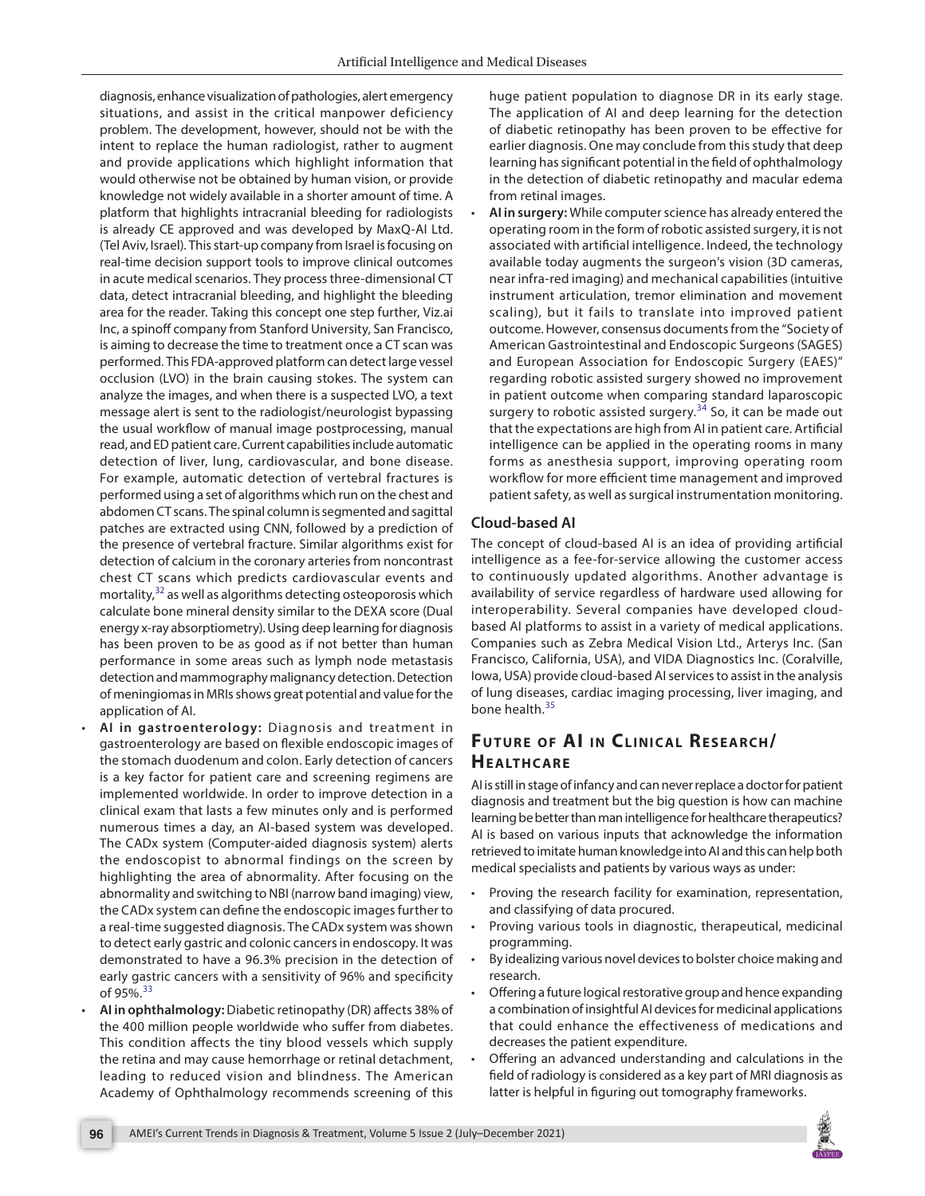diagnosis, enhance visualization of pathologies, alert emergency situations, and assist in the critical manpower deficiency problem. The development, however, should not be with the intent to replace the human radiologist, rather to augment and provide applications which highlight information that would otherwise not be obtained by human vision, or provide knowledge not widely available in a shorter amount of time. A platform that highlights intracranial bleeding for radiologists is already CE approved and was developed by MaxQ-AI Ltd. (Tel Aviv, Israel). This start-up company from Israel is focusing on real-time decision support tools to improve clinical outcomes in acute medical scenarios. They process three-dimensional CT data, detect intracranial bleeding, and highlight the bleeding area for the reader. Taking this concept one step further, Viz.ai Inc, a spinoff company from Stanford University, San Francisco, is aiming to decrease the time to treatment once a CT scan was performed. This FDA-approved platform can detect large vessel occlusion (LVO) in the brain causing stokes. The system can analyze the images, and when there is a suspected LVO, a text message alert is sent to the radiologist/neurologist bypassing the usual workflow of manual image postprocessing, manual read, and ED patient care. Current capabilities include automatic detection of liver, lung, cardiovascular, and bone disease. For example, automatic detection of vertebral fractures is performed using a set of algorithms which run on the chest and abdomen CT scans. The spinal column is segmented and sagittal patches are extracted using CNN, followed by a prediction of the presence of vertebral fracture. Similar algorithms exist for detection of calcium in the coronary arteries from noncontrast chest CT scans which predicts cardiovascular events and mortality, $32$  as well as algorithms detecting osteoporosis which calculate bone mineral density similar to the DEXA score (Dual energy x-ray absorptiometry). Using deep learning for diagnosis has been proven to be as good as if not better than human performance in some areas such as lymph node metastasis detection and mammography malignancy detection. Detection of meningiomas in MRIs shows great potential and value for the application of AI.

- **AI in gastroenterology:** Diagnosis and treatment in gastroenterology are based on flexible endoscopic images of the stomach duodenum and colon. Early detection of cancers is a key factor for patient care and screening regimens are implemented worldwide. In order to improve detection in a clinical exam that lasts a few minutes only and is performed numerous times a day, an AI-based system was developed. The CADx system (Computer-aided diagnosis system) alerts the endoscopist to abnormal findings on the screen by highlighting the area of abnormality. After focusing on the abnormality and switching to NBI (narrow band imaging) view, the CADx system can define the endoscopic images further to a real-time suggested diagnosis. The CADx system was shown to detect early gastric and colonic cancers in endoscopy. It was demonstrated to have a 96.3% precision in the detection of early gastric cancers with a sensitivity of 96% and specificity of 95%. $33$
- **AI in ophthalmology:** Diabetic retinopathy (DR) affects 38% of the 400 million people worldwide who suffer from diabetes. This condition affects the tiny blood vessels which supply the retina and may cause hemorrhage or retinal detachment, leading to reduced vision and blindness. The American Academy of Ophthalmology recommends screening of this

huge patient population to diagnose DR in its early stage. The application of AI and deep learning for the detection of diabetic retinopathy has been proven to be effective for earlier diagnosis. One may conclude from this study that deep learning has significant potential in the field of ophthalmology in the detection of diabetic retinopathy and macular edema from retinal images.

• **AI in surgery:** While computer science has already entered the operating room in the form of robotic assisted surgery, it is not associated with artificial intelligence. Indeed, the technology available today augments the surgeon's vision (3D cameras, near infra-red imaging) and mechanical capabilities (intuitive instrument articulation, tremor elimination and movement scaling), but it fails to translate into improved patient outcome. However, consensus documents from the "Society of American Gastrointestinal and Endoscopic Surgeons (SAGES) and European Association for Endoscopic Surgery (EAES)" regarding robotic assisted surgery showed no improvement in patient outcome when comparing standard laparoscopic surgery to robotic assisted surgery. $34$  So, it can be made out that the expectations are high from AI in patient care. Artificial intelligence can be applied in the operating rooms in many forms as anesthesia support, improving operating room workflow for more efficient time management and improved patient safety, as well as surgical instrumentation monitoring.

## **Cloud-based AI**

The concept of cloud-based AI is an idea of providing artificial intelligence as a fee-for-service allowing the customer access to continuously updated algorithms. Another advantage is availability of service regardless of hardware used allowing for interoperability. Several companies have developed cloudbased AI platforms to assist in a variety of medical applications. Companies such as Zebra Medical Vision Ltd., Arterys Inc. (San Francisco, California, USA), and VIDA Diagnostics Inc. (Coralville, Iowa, USA) provide cloud-based AI services to assist in the analysis of lung diseases, cardiac imaging processing, liver imaging, and bone health.<sup>[35](#page-6-4)</sup>

# **FUTURE OF AI IN CLINICAL RESEARCH/ HEALTHCARE**

AI is still in stage of infancy and can never replace a doctor for patient diagnosis and treatment but the big question is how can machine learning be better than man intelligence for healthcare therapeutics? AI is based on various inputs that acknowledge the information retrieved to imitate human knowledge into AI and this can help both medical specialists and patients by various ways as under:

- Proving the research facility for examination, representation, and classifying of data procured.
- Proving various tools in diagnostic, therapeutical, medicinal programming.
- By idealizing various novel devices to bolster choice making and research.
- Offering a future logical restorative group and hence expanding a combination of insightful AI devices for medicinal applications that could enhance the effectiveness of medications and decreases the patient expenditure.
- Offering an advanced understanding and calculations in the field of radiology is considered as a key part of MRI diagnosis as latter is helpful in figuring out tomography frameworks.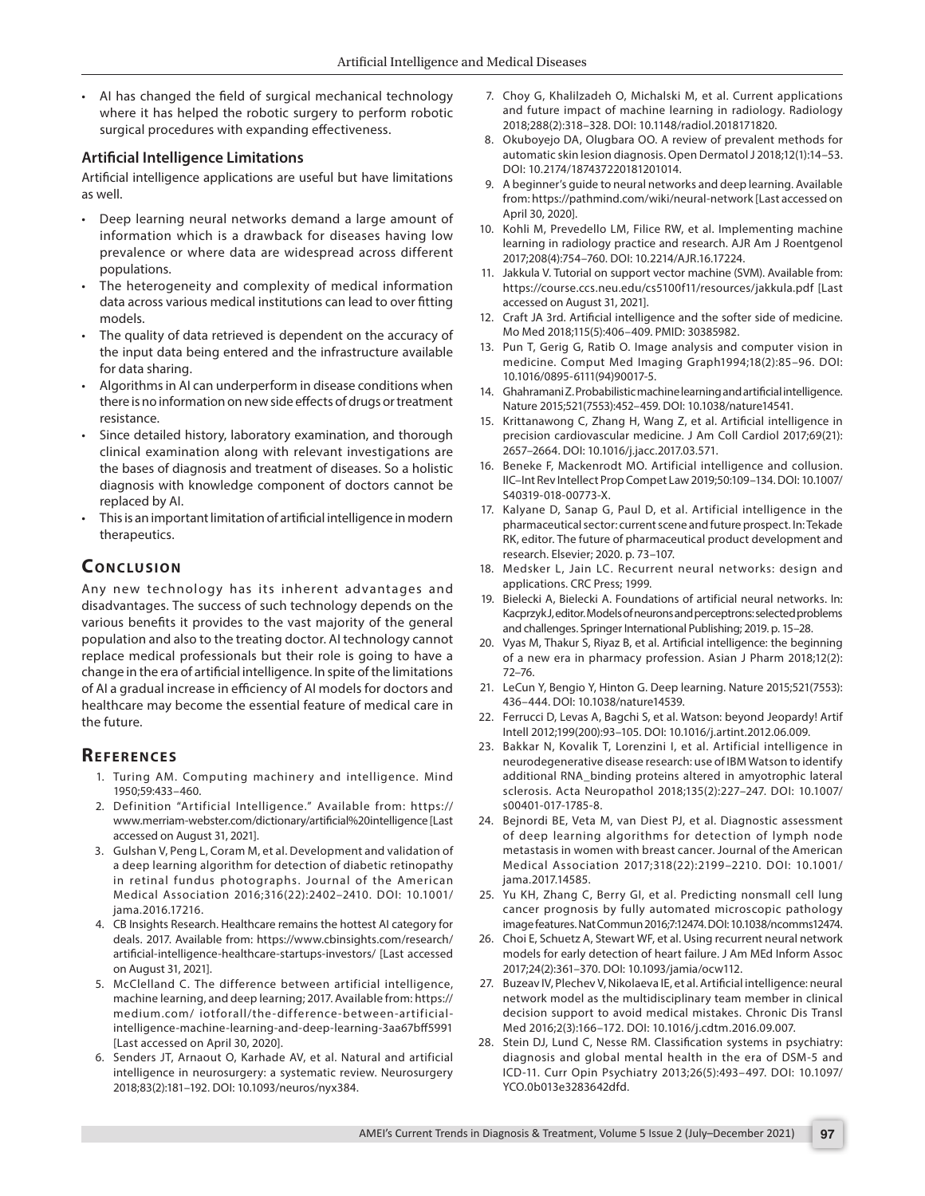• AI has changed the field of surgical mechanical technology where it has helped the robotic surgery to perform robotic surgical procedures with expanding effectiveness.

### **Artificial Intelligence Limitations**

Artificial intelligence applications are useful but have limitations as well.

- Deep learning neural networks demand a large amount of information which is a drawback for diseases having low prevalence or where data are widespread across different populations.
- The heterogeneity and complexity of medical information data across various medical institutions can lead to over fitting models.
- The quality of data retrieved is dependent on the accuracy of the input data being entered and the infrastructure available for data sharing.
- Algorithms in AI can underperform in disease conditions when there is no information on new side effects of drugs or treatment resistance.
- Since detailed history, laboratory examination, and thorough clinical examination along with relevant investigations are the bases of diagnosis and treatment of diseases. So a holistic diagnosis with knowledge component of doctors cannot be replaced by AI.
- This is an important limitation of artificial intelligence in modern therapeutics.

# **CONCLUSION**

Any new technology has its inherent advantages and disadvantages. The success of such technology depends on the various benefits it provides to the vast majority of the general population and also to the treating doctor. AI technology cannot replace medical professionals but their role is going to have a change in the era of artificial intelligence. In spite of the limitations of AI a gradual increase in efficiency of AI models for doctors and healthcare may become the essential feature of medical care in the future.

## **REFERENCES**

- <span id="page-5-0"></span>1. Turing AM. Computing machinery and intelligence. Mind 1950;59:433–460.
- <span id="page-5-1"></span>2. Definition "Artificial Intelligence." Available from: https:// www.merriam-webster.com/dictionary/artificial%20intelligence [Last accessed on August 31, 2021].
- <span id="page-5-2"></span>3. Gulshan V, Peng L, Coram M, et al. Development and validation of a deep learning algorithm for detection of diabetic retinopathy in retinal fundus photographs. Journal of the American Medical Association 2016;316(22):2402–2410. DOI: 10.1001/ jama.2016.17216.
- <span id="page-5-3"></span>4. CB Insights Research. Healthcare remains the hottest AI category for deals. 2017. Available from: https://www.cbinsights.com/research/ artificial-intelligence-healthcare-startups-investors/ [Last accessed on August 31, 2021].
- <span id="page-5-4"></span>5. McClelland C. The difference between artificial intelligence, machine learning, and deep learning; 2017. Available from: https:// medium.com/ iotforall/the-difference-between-artificialintelligence-machine-learning-and-deep-learning-3aa67bff5991 [Last accessed on April 30, 2020].
- <span id="page-5-5"></span>6. Senders JT, Arnaout O, Karhade AV, et al. Natural and artificial intelligence in neurosurgery: a systematic review. Neurosurgery 2018;83(2):181–192. DOI: 10.1093/neuros/nyx384.
- <span id="page-5-6"></span>7. Choy G, Khalilzadeh O, Michalski M, et al. Current applications and future impact of machine learning in radiology. Radiology 2018;288(2):318–328. DOI: 10.1148/radiol.2018171820.
- <span id="page-5-7"></span>8. Okuboyejo DA, Olugbara OO. A review of prevalent methods for automatic skin lesion diagnosis. Open Dermatol J 2018;12(1):14–53. DOI: 10.2174/187437220181201014.
- <span id="page-5-8"></span>9. A beginner's guide to neural networks and deep learning. Available from: https://pathmind.com/wiki/neural-network [Last accessed on April 30, 2020].
- <span id="page-5-9"></span>10. Kohli M, Prevedello LM, Filice RW, et al. Implementing machine learning in radiology practice and research. AJR Am J Roentgenol 2017;208(4):754–760. DOI: 10.2214/AJR.16.17224.
- 11. Jakkula V. Tutorial on support vector machine (SVM). Available from: https://course.ccs.neu.edu/cs5100f11/resources/jakkula.pdf [Last accessed on August 31, 2021].
- <span id="page-5-10"></span>12. Craft JA 3rd. Artificial intelligence and the softer side of medicine. Mo Med 2018;115(5):406–409. PMID: 30385982.
- <span id="page-5-11"></span>13. Pun T, Gerig G, Ratib O. Image analysis and computer vision in medicine. Comput Med Imaging Graph1994;18(2):85–96. DOI: 10.1016/0895-6111(94)90017-5.
- <span id="page-5-12"></span>14. Ghahramani Z. Probabilistic machine learning and artificial intelligence. Nature 2015;521(7553):452–459. DOI: 10.1038/nature14541.
- <span id="page-5-14"></span>15. Krittanawong C, Zhang H, Wang Z, et al. Artificial intelligence in precision cardiovascular medicine. J Am Coll Cardiol 2017;69(21): 2657–2664. DOI: 10.1016/j.jacc.2017.03.571.
- <span id="page-5-15"></span>16. Beneke F, Mackenrodt MO. Artificial intelligence and collusion. IIC–Int Rev Intellect Prop Compet Law 2019;50:109–134. DOI: 10.1007/ S40319-018-00773-X.
- <span id="page-5-16"></span>17. Kalyane D, Sanap G, Paul D, et al. Artificial intelligence in the pharmaceutical sector: current scene and future prospect. In: Tekade RK, editor. The future of pharmaceutical product development and research. Elsevier; 2020. p. 73–107.
- <span id="page-5-17"></span>18. Medsker L, Jain LC. Recurrent neural networks: design and applications. CRC Press; 1999.
- <span id="page-5-18"></span>19. Bielecki A, Bielecki A. Foundations of artificial neural networks. In: Kacprzyk J, editor. Models of neurons and perceptrons: selected problems and challenges. Springer International Publishing; 2019. p. 15–28.
- <span id="page-5-19"></span>20. Vyas M, Thakur S, Riyaz B, et al. Artificial intelligence: the beginning of a new era in pharmacy profession. Asian J Pharm 2018;12(2): 72–76.
- <span id="page-5-13"></span>21. LeCun Y, Bengio Y, Hinton G. Deep learning. Nature 2015;521(7553): 436–444. DOI: 10.1038/nature14539.
- <span id="page-5-23"></span>22. Ferrucci D, Levas A, Bagchi S, et al. Watson: beyond Jeopardy! Artif Intell 2012;199(200):93–105. DOI: 10.1016/j.artint.2012.06.009.
- <span id="page-5-24"></span>23. Bakkar N, Kovalik T, Lorenzini I, et al. Artificial intelligence in neurodegenerative disease research: use of IBM Watson to identify additional RNA\_binding proteins altered in amyotrophic lateral sclerosis. Acta Neuropathol 2018;135(2):227–247. DOI: 10.1007/ s00401-017-1785-8.
- <span id="page-5-25"></span>24. Bejnordi BE, Veta M, van Diest PJ, et al. Diagnostic assessment of deep learning algorithms for detection of lymph node metastasis in women with breast cancer. Journal of the American Medical Association 2017;318(22):2199–2210. DOI: 10.1001/ jama.2017.14585.
- <span id="page-5-26"></span>25. Yu KH, Zhang C, Berry GI, et al. Predicting nonsmall cell lung cancer prognosis by fully automated microscopic pathology image features. Nat Commun 2016;7:12474. DOI: 10.1038/ncomms12474.
- <span id="page-5-20"></span>26. Choi E, Schuetz A, Stewart WF, et al. Using recurrent neural network models for early detection of heart failure. J Am MEd Inform Assoc 2017;24(2):361–370. DOI: 10.1093/jamia/ocw112.
- <span id="page-5-21"></span>27. Buzeav IV, Plechev V, Nikolaeva IE, et al. Artificial intelligence: neural network model as the multidisciplinary team member in clinical decision support to avoid medical mistakes. Chronic Dis Transl Med 2016;2(3):166–172. DOI: 10.1016/j.cdtm.2016.09.007.
- <span id="page-5-22"></span>28. Stein DJ, Lund C, Nesse RM. Classification systems in psychiatry: diagnosis and global mental health in the era of DSM-5 and ICD-11. Curr Opin Psychiatry 2013;26(5):493–497. DOI: 10.1097/ YCO.0b013e3283642dfd.